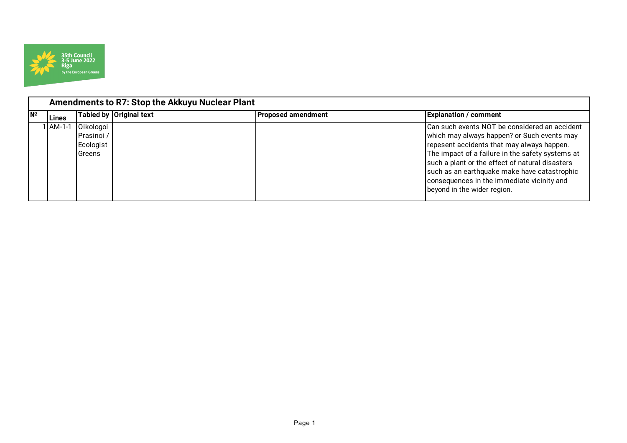

|                           | Amendments to R7: Stop the Akkuyu Nuclear Plant |                                                       |                         |                           |                                                                                                                                                                                                                                                                                                                                                                                |  |  |
|---------------------------|-------------------------------------------------|-------------------------------------------------------|-------------------------|---------------------------|--------------------------------------------------------------------------------------------------------------------------------------------------------------------------------------------------------------------------------------------------------------------------------------------------------------------------------------------------------------------------------|--|--|
| $\mathsf{N}^{\mathsf{O}}$ | Lines                                           |                                                       | Tabled by Original text | <b>Proposed amendment</b> | <b>Explanation / comment</b>                                                                                                                                                                                                                                                                                                                                                   |  |  |
|                           | <b>LAM-1-1</b>                                  | Oikologoi<br>Prasinoi /<br>Ecologist<br><b>Greens</b> |                         |                           | Can such events NOT be considered an accident<br>which may always happen? or Such events may<br>repesent accidents that may always happen.<br>The impact of a failure in the safety systems at<br>such a plant or the effect of natural disasters<br>such as an earthquake make have catastrophic<br>consequences in the immediate vicinity and<br>beyond in the wider region. |  |  |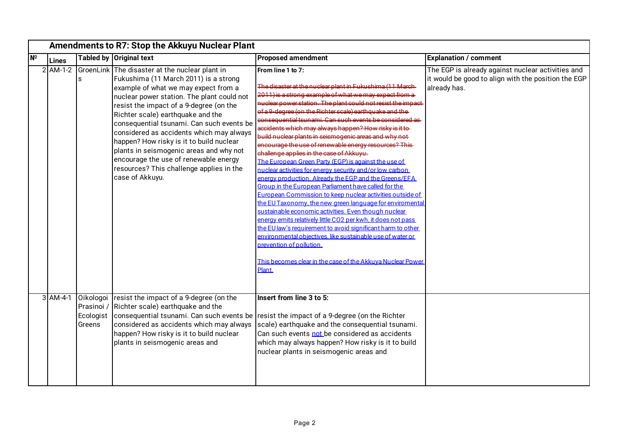|           | Amendments to R7: Stop the Akkuyu Nuclear Plant |                                                |                                                                                                                                                                                                                                                                                                                                                                                                                                                                                                                                                       |                                                                                                                                                                                                                                                                                                                                                                                                                                                                                                                                                                                                                                                                                                                                                                                                                                                                                                                                                                                                                                                                                                                                                                                                                                                                                 |                                                                                                                          |
|-----------|-------------------------------------------------|------------------------------------------------|-------------------------------------------------------------------------------------------------------------------------------------------------------------------------------------------------------------------------------------------------------------------------------------------------------------------------------------------------------------------------------------------------------------------------------------------------------------------------------------------------------------------------------------------------------|---------------------------------------------------------------------------------------------------------------------------------------------------------------------------------------------------------------------------------------------------------------------------------------------------------------------------------------------------------------------------------------------------------------------------------------------------------------------------------------------------------------------------------------------------------------------------------------------------------------------------------------------------------------------------------------------------------------------------------------------------------------------------------------------------------------------------------------------------------------------------------------------------------------------------------------------------------------------------------------------------------------------------------------------------------------------------------------------------------------------------------------------------------------------------------------------------------------------------------------------------------------------------------|--------------------------------------------------------------------------------------------------------------------------|
| <b>Nº</b> | <b>Lines</b>                                    |                                                | Tabled by Original text                                                                                                                                                                                                                                                                                                                                                                                                                                                                                                                               | <b>Proposed amendment</b>                                                                                                                                                                                                                                                                                                                                                                                                                                                                                                                                                                                                                                                                                                                                                                                                                                                                                                                                                                                                                                                                                                                                                                                                                                                       | <b>Explanation / comment</b>                                                                                             |
|           | $2$ AM-1-2                                      | ls                                             | GroenLink The disaster at the nuclear plant in<br>Fukushima (11 March 2011) is a strong<br>example of what we may expect from a<br>nuclear power station. The plant could not<br>resist the impact of a 9-degree (on the<br>Richter scale) earthquake and the<br>consequential tsunami. Can such events be<br>considered as accidents which may always<br>happen? How risky is it to build nuclear<br>plants in seismogenic areas and why not<br>encourage the use of renewable energy<br>resources? This challenge applies in the<br>case of Akkuyu. | From line 1 to 7:<br>The disaster at the nuclear plant in Fukushima (11 March-<br>2011) is a strong example of what we may expect from a<br>nuclear power station. The plant could not resist the impact-<br>of a 9-degree (on the Richter scale) earthquake and the<br>consequential tsunami. Can such events be considered as<br>accidents which may always happen? How risky is it to-<br>build nuclear plants in seismogenic areas and why not-<br>encourage the use of renewable energy resources? This<br>challenge applies in the case of Akkuyu.<br>The European Green Party (EGP) is against the use of<br>nuclear activities for energy security and/or low carbon<br>energy production. Already the EGP and the Greens/EFA<br>Group in the European Parliament have called for the<br>European Commission to keep nuclear activities outside of<br>the EU Taxonomy, the new green language for enviromental<br>sustainable economic activities. Even though nuclear<br>energy emits relatively little CO2 per kwh, it does not pass<br>the EU law's requirement to avoid significant harm to other<br>environmental objectives, like sustainable use of water or<br>prevention of pollution.<br>This becomes clear in the case of the Akkuva Nuclear Power<br>Plant. | The EGP is already against nuclear activities and<br>it would be good to align with the position the EGP<br>already has. |
|           | $3$ AM-4-1                                      | Oikologoi<br>Prasinoi /<br>Ecologist<br>Greens | resist the impact of a 9-degree (on the<br>Richter scale) earthquake and the<br>consequential tsunami. Can such events be<br>considered as accidents which may always<br>happen? How risky is it to build nuclear<br>plants in seismogenic areas and                                                                                                                                                                                                                                                                                                  | Insert from line 3 to 5:<br>resist the impact of a 9-degree (on the Richter<br>scale) earthquake and the consequential tsunami.<br>Can such events not be considered as accidents<br>which may always happen? How risky is it to build<br>nuclear plants in seismogenic areas and                                                                                                                                                                                                                                                                                                                                                                                                                                                                                                                                                                                                                                                                                                                                                                                                                                                                                                                                                                                               |                                                                                                                          |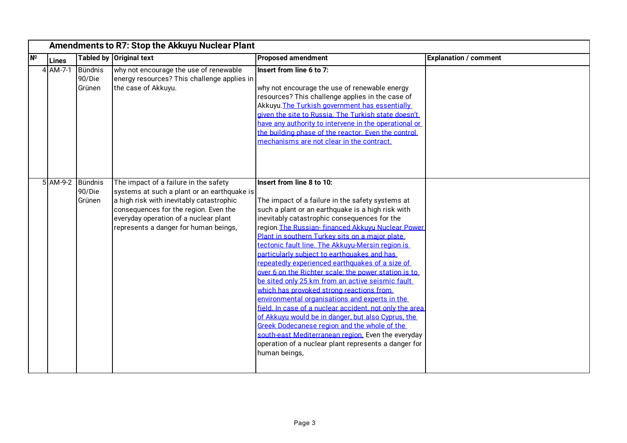| N <sup>o</sup><br>Lines | <b>Tabled by</b>                     | <b>Original text</b>                                                                                                                                                                                                                                        | <b>Proposed amendment</b>                                                                                                                                                                                                                                                                                                                                                                                                                                                                                                                                                                                                                                                                                                                                                                                                                                                                                                                                  | <b>Explanation / comment</b> |
|-------------------------|--------------------------------------|-------------------------------------------------------------------------------------------------------------------------------------------------------------------------------------------------------------------------------------------------------------|------------------------------------------------------------------------------------------------------------------------------------------------------------------------------------------------------------------------------------------------------------------------------------------------------------------------------------------------------------------------------------------------------------------------------------------------------------------------------------------------------------------------------------------------------------------------------------------------------------------------------------------------------------------------------------------------------------------------------------------------------------------------------------------------------------------------------------------------------------------------------------------------------------------------------------------------------------|------------------------------|
| $4$ AM-7-1              | Bündnis<br>90/Die<br>Grünen          | why not encourage the use of renewable<br>energy resources? This challenge applies in<br>the case of Akkuyu.                                                                                                                                                | Insert from line 6 to 7:<br>why not encourage the use of renewable energy<br>resources? This challenge applies in the case of<br>Akkuyu. The Turkish government has essentially<br>given the site to Russia. The Turkish state doesn't<br>have any authority to intervene in the operational or<br>the building phase of the reactor. Even the control<br>mechanisms are not clear in the contract.                                                                                                                                                                                                                                                                                                                                                                                                                                                                                                                                                        |                              |
|                         | 5 AM-9-2 Bündnis<br>90/Die<br>Grünen | The impact of a failure in the safety<br>systems at such a plant or an earthquake is<br>a high risk with inevitably catastrophic<br>consequences for the region. Even the<br>everyday operation of a nuclear plant<br>represents a danger for human beings, | Insert from line 8 to 10:<br>The impact of a failure in the safety systems at<br>such a plant or an earthquake is a high risk with<br>inevitably catastrophic consequences for the<br>region. The Russian- financed Akkuyu Nuclear Power<br>Plant in southern Turkey sits on a major plate<br>tectonic fault line. The Akkuvu-Mersin region is<br>particularly subject to earthquakes and has<br>repeatedly experienced earthquakes of a size of<br>over 6 on the Richter scale; the power station is to<br>be sited only 25 km from an active seismic fault<br>which has provoked strong reactions from<br>environmental organisations and experts in the<br>field. In case of a nuclear accident, not only the area<br>of Akkuvu would be in danger, but also Cyprus, the<br>Greek Dodecanese region and the whole of the<br>south-east Mediterranean region. Even the everyday<br>operation of a nuclear plant represents a danger for<br>human beings, |                              |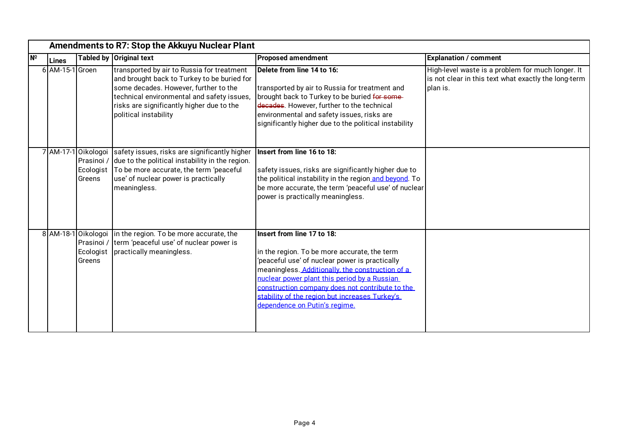|                | Amendments to R7: Stop the Akkuyu Nuclear Plant |                                            |                                                                                                                                                                                                                                                        |                                                                                                                                                                                                                                                                                                                                                                        |                                                                                                                       |  |
|----------------|-------------------------------------------------|--------------------------------------------|--------------------------------------------------------------------------------------------------------------------------------------------------------------------------------------------------------------------------------------------------------|------------------------------------------------------------------------------------------------------------------------------------------------------------------------------------------------------------------------------------------------------------------------------------------------------------------------------------------------------------------------|-----------------------------------------------------------------------------------------------------------------------|--|
| N <sup>o</sup> | Lines                                           |                                            | Tabled by Original text                                                                                                                                                                                                                                | <b>Proposed amendment</b>                                                                                                                                                                                                                                                                                                                                              | <b>Explanation / comment</b>                                                                                          |  |
|                | 6 AM-15-1 Groen                                 |                                            | transported by air to Russia for treatment<br>and brought back to Turkey to be buried for<br>some decades. However, further to the<br>technical environmental and safety issues,<br>risks are significantly higher due to the<br>political instability | Delete from line 14 to 16:<br>transported by air to Russia for treatment and<br>brought back to Turkey to be buried for some-<br>decades. However, further to the technical<br>environmental and safety issues, risks are<br>significantly higher due to the political instability                                                                                     | High-level waste is a problem for much longer. It<br>is not clear in this text what exactly the long-term<br>plan is. |  |
|                |                                                 | 7 AM-17-1 Oikologoi<br>Ecologist<br>Greens | safety issues, risks are significantly higher<br>Prasinoi / due to the political instability in the region.<br>To be more accurate, the term 'peaceful<br>use' of nuclear power is practically<br>meaningless.                                         | Insert from line 16 to 18:<br>safety issues, risks are significantly higher due to<br>the political instability in the region and beyond. To<br>be more accurate, the term 'peaceful use' of nuclear<br>power is practically meaningless.                                                                                                                              |                                                                                                                       |  |
|                |                                                 | 8 AM-18-1 Oikologoi<br>Ecologist<br>Greens | in the region. To be more accurate, the<br>Prasinoi / term 'peaceful use' of nuclear power is<br>practically meaningless.                                                                                                                              | Insert from line 17 to 18:<br>in the region. To be more accurate, the term<br>'peaceful use' of nuclear power is practically<br>meaningless. Additionally, the construction of a<br>nuclear power plant this period by a Russian<br>construction company does not contribute to the<br>stability of the region but increases Turkey's<br>dependence on Putin's regime. |                                                                                                                       |  |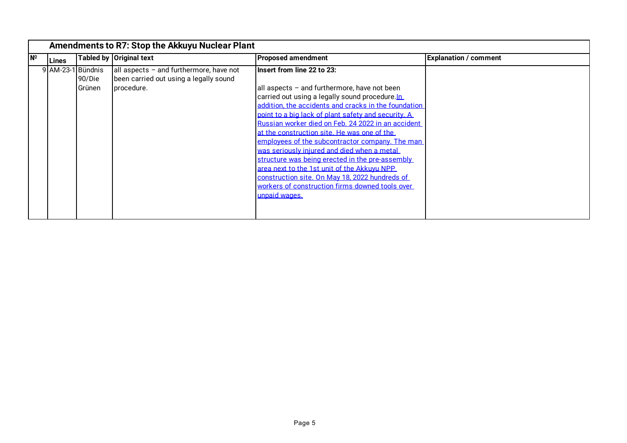|     |              | Amendments to R7: Stop the Akkuyu Nuclear Plant |                                                                                                 |                                                                                                                                                                                                                                                                                                                                                                                                                                                                                                                                                                                                                                                                            |                              |  |
|-----|--------------|-------------------------------------------------|-------------------------------------------------------------------------------------------------|----------------------------------------------------------------------------------------------------------------------------------------------------------------------------------------------------------------------------------------------------------------------------------------------------------------------------------------------------------------------------------------------------------------------------------------------------------------------------------------------------------------------------------------------------------------------------------------------------------------------------------------------------------------------------|------------------------------|--|
| INº | <b>Lines</b> |                                                 | Tabled by Original text                                                                         | <b>Proposed amendment</b>                                                                                                                                                                                                                                                                                                                                                                                                                                                                                                                                                                                                                                                  | <b>Explanation / comment</b> |  |
|     | $9$ AM-23-1  | <b>Bündnis</b><br>90/Die<br>Grünen              | all aspects - and furthermore, have not<br>been carried out using a legally sound<br>procedure. | Insert from line 22 to 23:<br>all aspects - and furthermore, have not been<br>carried out using a legally sound procedure.In<br>addition, the accidents and cracks in the foundation<br>point to a big lack of plant safety and security. A<br>Russian worker died on Feb. 24 2022 in an accident<br>at the construction site. He was one of the<br>employees of the subcontractor company. The man<br>was seriously iniured and died when a metal<br>structure was being erected in the pre-assembly<br>area next to the 1st unit of the Akkuvu NPP<br>construction site. On May 18, 2022 hundreds of<br>workers of construction firms downed tools over<br>unpaid wages. |                              |  |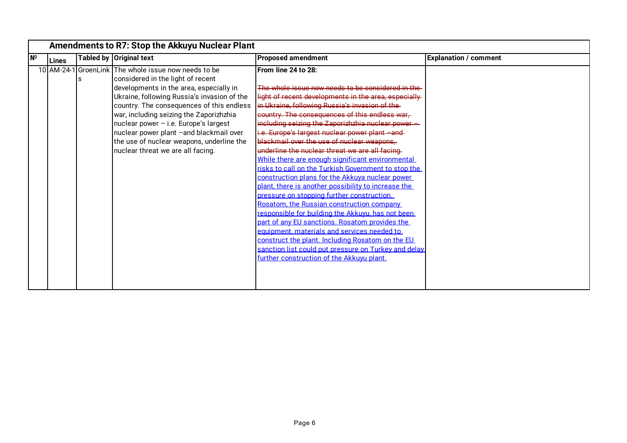|    | Amendments to R7: Stop the Akkuyu Nuclear Plant |  |                                                                                                                                                                                                                                                                                                                                                                                                                                                 |                                                                                                                                                                                                                                                                                                                                                                                                                                                                                                                                                                                                                                                                                                                                                                                                                                                                                                                                                                                                                                                                                |                              |  |
|----|-------------------------------------------------|--|-------------------------------------------------------------------------------------------------------------------------------------------------------------------------------------------------------------------------------------------------------------------------------------------------------------------------------------------------------------------------------------------------------------------------------------------------|--------------------------------------------------------------------------------------------------------------------------------------------------------------------------------------------------------------------------------------------------------------------------------------------------------------------------------------------------------------------------------------------------------------------------------------------------------------------------------------------------------------------------------------------------------------------------------------------------------------------------------------------------------------------------------------------------------------------------------------------------------------------------------------------------------------------------------------------------------------------------------------------------------------------------------------------------------------------------------------------------------------------------------------------------------------------------------|------------------------------|--|
| Nº | <b>Lines</b>                                    |  | Tabled by Original text                                                                                                                                                                                                                                                                                                                                                                                                                         | <b>Proposed amendment</b>                                                                                                                                                                                                                                                                                                                                                                                                                                                                                                                                                                                                                                                                                                                                                                                                                                                                                                                                                                                                                                                      | <b>Explanation / comment</b> |  |
|    | 10 AM-24-1                                      |  | <b>S</b> GroenLink The whole issue now needs to be<br>considered in the light of recent<br>developments in the area, especially in<br>Ukraine, following Russia's invasion of the<br>country. The consequences of this endless<br>war, including seizing the Zaporizhzhia<br>nuclear power - i.e. Europe's largest<br>nuclear power plant -and blackmail over<br>the use of nuclear weapons, underline the<br>nuclear threat we are all facing. | From line 24 to 28:<br>The whole issue now peeds to be considered in the<br>light of recent developments in the area, especially<br>in Ukraine, following Russia's invasion of the-<br>country. The consequences of this endless war-<br>including seizing the Zaporizhzhia nuclear power =<br>i.e. Europe's largest nuclear power plant -and-<br>blackmail over the use of nuclear weapons,<br>underline the nuclear threat we are all facing.<br>While there are enough significant environmental<br>risks to call on the Turkish Government to stop the<br>construction plans for the Akkuva nuclear power<br>plant, there is another possibility to increase the<br>pressure on stopping further construction.<br>Rosatom, the Russian construction company<br>responsible for building the Akkuvu, has not been<br>part of any EU sanctions. Rosatom provides the<br>equipment, materials and services needed to<br>construct the plant. Including Rosatom on the EU<br>sanction list could put pressure on Turkey and delay<br>further construction of the Akkuyu plant. |                              |  |
|    |                                                 |  |                                                                                                                                                                                                                                                                                                                                                                                                                                                 |                                                                                                                                                                                                                                                                                                                                                                                                                                                                                                                                                                                                                                                                                                                                                                                                                                                                                                                                                                                                                                                                                |                              |  |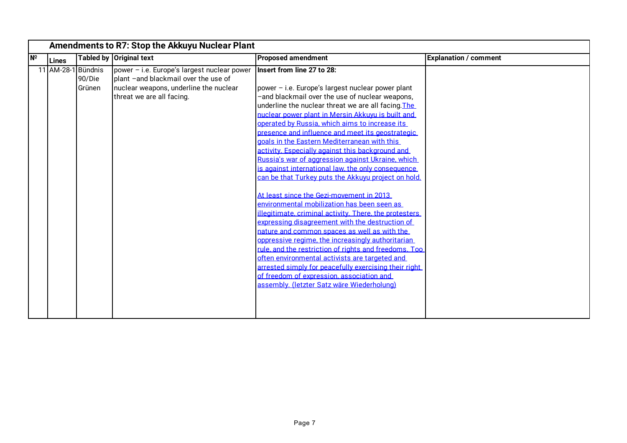|                                                    | Amendments to R7: Stop the Akkuyu Nuclear Plant                                                                                                            |                                                                                                                                                                                                                                                                                                                                                                                                                                                                                                                                                                                                                                                                                                                                                                                                                                                                                                                                                                                                                                                                                                                                                                                                        |                              |  |  |
|----------------------------------------------------|------------------------------------------------------------------------------------------------------------------------------------------------------------|--------------------------------------------------------------------------------------------------------------------------------------------------------------------------------------------------------------------------------------------------------------------------------------------------------------------------------------------------------------------------------------------------------------------------------------------------------------------------------------------------------------------------------------------------------------------------------------------------------------------------------------------------------------------------------------------------------------------------------------------------------------------------------------------------------------------------------------------------------------------------------------------------------------------------------------------------------------------------------------------------------------------------------------------------------------------------------------------------------------------------------------------------------------------------------------------------------|------------------------------|--|--|
| N <sup>2</sup><br>Tabled by Original text<br>Lines |                                                                                                                                                            | <b>Proposed amendment</b>                                                                                                                                                                                                                                                                                                                                                                                                                                                                                                                                                                                                                                                                                                                                                                                                                                                                                                                                                                                                                                                                                                                                                                              | <b>Explanation / comment</b> |  |  |
| Bündnis<br>11 AM-28-1<br>90/Die<br>Grünen          | power - i.e. Europe's largest nuclear power<br>plant -and blackmail over the use of<br>nuclear weapons, underline the nuclear<br>threat we are all facing. | Insert from line 27 to 28:<br>power - i.e. Europe's largest nuclear power plant<br>-and blackmail over the use of nuclear weapons,<br>underline the nuclear threat we are all facing. The<br>nuclear power plant in Mersin Akkuvu is built and<br>operated by Russia, which aims to increase its<br>presence and influence and meet its geostrategic<br>goals in the Eastern Mediterranean with this<br>activity. Especially against this background and<br>Russia's war of aggression against Ukraine, which<br>is against international law, the only consequence<br>can be that Turkey puts the Akkuvu project on hold.<br>At least since the Gezi-movement in 2013<br>environmental mobilization has been seen as<br>illegitimate, criminal activity. There, the protesters<br>expressing disagreement with the destruction of<br>nature and common spaces as well as with the<br>oppressive regime, the increasingly authoritarian<br>rule, and the restriction of rights and freedoms. Too<br>often environmental activists are targeted and<br>arrested simply for peacefully exercising their right<br>of freedom of expression, association and<br>assembly. (letzter Satz wäre Wiederholung) |                              |  |  |